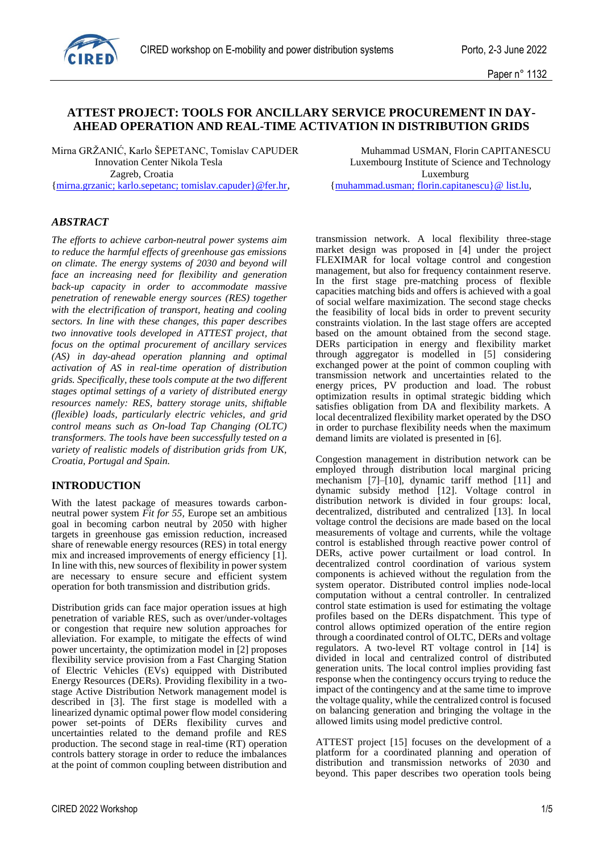

# **ATTEST PROJECT: TOOLS FOR ANCILLARY SERVICE PROCUREMENT IN DAY-AHEAD OPERATION AND REAL-TIME ACTIVATION IN DISTRIBUTION GRIDS**

Mirna GRŽANIĆ, Karlo ŠEPETANC, Tomislav CAPUDER Muhammad USMAN, Florin CAPITANESCU Zagreb, Croatia Luxemburg

[{mirna.grzanic; karlo.sepetanc; tomislav.capuder}@fer.hr,](mailto:mirna.grzanic;%20karlo.sepetanc;%20tomislav.capuder%7d@fer.hr) [{muhammad.usman; florin.capitanescu}@](mailto:muhammad.usman;%20florin.capitanescu%7d@list.lu@list.lu) list.lu,

*ABSTRACT*

*The efforts to achieve carbon-neutral power systems aim to reduce the harmful effects of greenhouse gas emissions on climate. The energy systems of 2030 and beyond will face an increasing need for flexibility and generation back-up capacity in order to accommodate massive penetration of renewable energy sources (RES) together with the electrification of transport, heating and cooling sectors. In line with these changes, this paper describes two innovative tools developed in ATTEST project, that focus on the optimal procurement of ancillary services (AS) in day-ahead operation planning and optimal activation of AS in real-time operation of distribution grids. Specifically, these tools compute at the two different stages optimal settings of a variety of distributed energy resources namely: RES, battery storage units, shiftable (flexible) loads, particularly electric vehicles, and grid control means such as On-load Tap Changing (OLTC) transformers. The tools have been successfully tested on a variety of realistic models of distribution grids from UK, Croatia, Portugal and Spain.* 

### **INTRODUCTION**

With the latest package of measures towards carbonneutral power system *Fit for 55,* Europe set an ambitious goal in becoming carbon neutral by 2050 with higher targets in greenhouse gas emission reduction, increased share of renewable energy resources (RES) in total energy mix and increased improvements of energy efficiency [1]. In line with this, new sources of flexibility in power system are necessary to ensure secure and efficient system operation for both transmission and distribution grids.

Distribution grids can face major operation issues at high penetration of variable RES, such as over/under-voltages or congestion that require new solution approaches for alleviation. For example, to mitigate the effects of wind power uncertainty, the optimization model in [2] proposes flexibility service provision from a Fast Charging Station of Electric Vehicles (EVs) equipped with Distributed Energy Resources (DERs). Providing flexibility in a twostage Active Distribution Network management model is described in [3]. The first stage is modelled with a linearized dynamic optimal power flow model considering power set-points of DERs flexibility curves and uncertainties related to the demand profile and RES production. The second stage in real-time (RT) operation controls battery storage in order to reduce the imbalances at the point of common coupling between distribution and

Innovation Center Nikola Tesla Luxembourg Institute of Science and Technology

transmission network. A local flexibility three-stage market design was proposed in [4] under the project FLEXIMAR for local voltage control and congestion management, but also for frequency containment reserve. In the first stage pre-matching process of flexible capacities matching bids and offers is achieved with a goal of social welfare maximization. The second stage checks the feasibility of local bids in order to prevent security constraints violation. In the last stage offers are accepted based on the amount obtained from the second stage. DERs participation in energy and flexibility market through aggregator is modelled in [5] considering exchanged power at the point of common coupling with transmission network and uncertainties related to the energy prices, PV production and load. The robust optimization results in optimal strategic bidding which satisfies obligation from DA and flexibility markets. A local decentralized flexibility market operated by the DSO in order to purchase flexibility needs when the maximum demand limits are violated is presented in [6].

Congestion management in distribution network can be employed through distribution local marginal pricing mechanism [7]–[10], dynamic tariff method [11] and dynamic subsidy method [12]. Voltage control in distribution network is divided in four groups: local, decentralized, distributed and centralized [13]. In local voltage control the decisions are made based on the local measurements of voltage and currents, while the voltage control is established through reactive power control of DERs, active power curtailment or load control. In decentralized control coordination of various system components is achieved without the regulation from the system operator. Distributed control implies node-local computation without a central controller. In centralized control state estimation is used for estimating the voltage profiles based on the DERs dispatchment. This type of control allows optimized operation of the entire region through a coordinated control of OLTC, DERs and voltage regulators. A two-level RT voltage control in [14] is divided in local and centralized control of distributed generation units. The local control implies providing fast response when the contingency occurs trying to reduce the impact of the contingency and at the same time to improve the voltage quality, while the centralized control is focused on balancing generation and bringing the voltage in the allowed limits using model predictive control.

ATTEST project [15] focuses on the development of a platform for a coordinated planning and operation of distribution and transmission networks of 2030 and beyond. This paper describes two operation tools being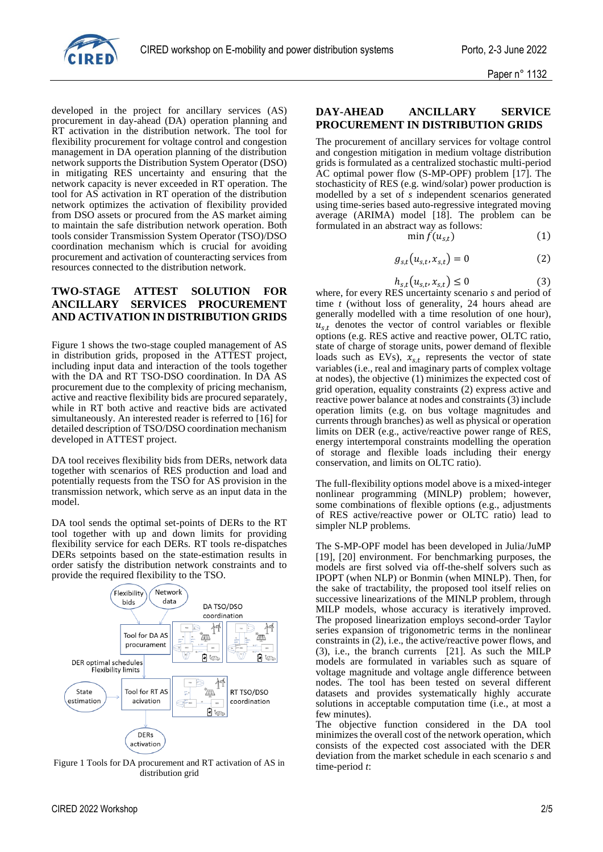

developed in the project for ancillary services (AS) procurement in day-ahead (DA) operation planning and RT activation in the distribution network. The tool for flexibility procurement for voltage control and congestion management in DA operation planning of the distribution network supports the Distribution System Operator (DSO) in mitigating RES uncertainty and ensuring that the network capacity is never exceeded in RT operation. The tool for AS activation in RT operation of the distribution network optimizes the activation of flexibility provided from DSO assets or procured from the AS market aiming to maintain the safe distribution network operation. Both tools consider Transmission System Operator (TSO)/DSO coordination mechanism which is crucial for avoiding procurement and activation of counteracting services from resources connected to the distribution network.

# **TWO-STAGE ATTEST SOLUTION FOR ANCILLARY SERVICES PROCUREMENT AND ACTIVATION IN DISTRIBUTION GRIDS**

Figure 1 shows the two-stage coupled management of AS in distribution grids, proposed in the ATTEST project, including input data and interaction of the tools together with the DA and RT TSO-DSO coordination. In DA AS procurement due to the complexity of pricing mechanism, active and reactive flexibility bids are procured separately, while in RT both active and reactive bids are activated simultaneously. An interested reader is referred to [16] for detailed description of TSO/DSO coordination mechanism developed in ATTEST project.

DA tool receives flexibility bids from DERs, network data together with scenarios of RES production and load and potentially requests from the TSO for AS provision in the transmission network, which serve as an input data in the model.

DA tool sends the optimal set-points of DERs to the RT tool together with up and down limits for providing flexibility service for each DERs. RT tools re-dispatches DERs setpoints based on the state-estimation results in order satisfy the distribution network constraints and to provide the required flexibility to the TSO.



Figure 1 Tools for DA procurement and RT activation of AS in distribution grid

# **DAY-AHEAD ANCILLARY SERVICE PROCUREMENT IN DISTRIBUTION GRIDS**

The procurement of ancillary services for voltage control and congestion mitigation in medium voltage distribution grids is formulated as a centralized stochastic multi-period AC optimal power flow (S-MP-OPF) problem [17]. The stochasticity of RES (e.g. wind/solar) power production is modelled by a set of *s* independent scenarios generated using time-series based auto-regressive integrated moving average (ARIMA) model [18]. The problem can be formulated in an abstract way as follows:

$$
\min f(u_{s,t})\tag{1}
$$

$$
g_{s,t}(u_{s,t},x_{s,t})=0
$$
 (2)

$$
h_{s,t}(u_{s,t}, x_{s,t}) \le 0 \tag{3}
$$

where, for every RES uncertainty scenario *s* and period of time *t* (without loss of generality, 24 hours ahead are generally modelled with a time resolution of one hour),  $u_{s,t}$  denotes the vector of control variables or flexible options (e.g. RES active and reactive power, OLTC ratio, state of charge of storage units, power demand of flexible loads such as EVs),  $x_{s,t}$  represents the vector of state variables (i.e., real and imaginary parts of complex voltage at nodes), the objective (1) minimizes the expected cost of grid operation, equality constraints (2) express active and reactive power balance at nodes and constraints (3) include operation limits (e.g. on bus voltage magnitudes and currents through branches) as well as physical or operation limits on DER (e.g., active/reactive power range of RES, energy intertemporal constraints modelling the operation of storage and flexible loads including their energy conservation, and limits on OLTC ratio).

The full-flexibility options model above is a mixed-integer nonlinear programming (MINLP) problem; however, some combinations of flexible options (e.g., adjustments of RES active/reactive power or OLTC ratio) lead to simpler NLP problems.

The S-MP-OPF model has been developed in Julia/JuMP [19], [20] environment. For benchmarking purposes, the models are first solved via off-the-shelf solvers such as IPOPT (when NLP) or Bonmin (when MINLP). Then, for the sake of tractability, the proposed tool itself relies on successive linearizations of the MINLP problem, through MILP models, whose accuracy is iteratively improved. The proposed linearization employs second-order Taylor series expansion of trigonometric terms in the nonlinear constraints in (2), i.e., the active/reactive power flows, and (3), i.e., the branch currents [21]. As such the MILP models are formulated in variables such as square of voltage magnitude and voltage angle difference between nodes. The tool has been tested on several different datasets and provides systematically highly accurate solutions in acceptable computation time (i.e., at most a few minutes).

The objective function considered in the DA tool minimizes the overall cost of the network operation, which consists of the expected cost associated with the DER deviation from the market schedule in each scenario *s* and time-period *t*: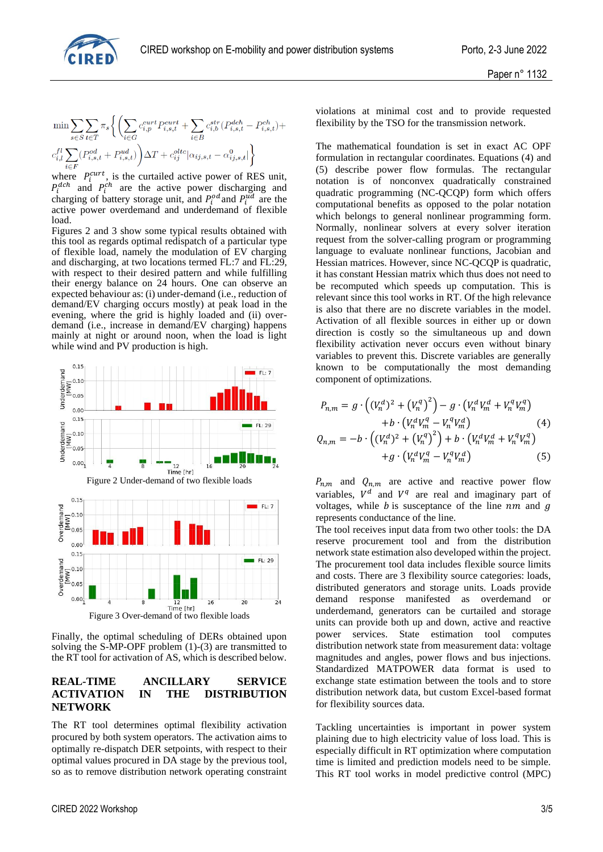

$$
\begin{aligned} &\min \sum\limits_{s \in S} \sum\limits_{t \in T} \pi_s \bigg\{\bigg(\sum\limits_{i \in G} c^{cut}_{i,p} P^{cut}_{i,s,t} + \sum\limits_{i \in B} c^{str}_{i,b} (P^{dch}_{i,s,t} - P^{ch}_{i,s,t}) + \\ &c^{fl}_{i,l} \sum\limits_{i \in F} (P^{od}_{i,s,t} + P^{ud}_{i,s,t}) \bigg) \Delta T + c^{olte}_{ij} |\alpha_{ij,s,t} - \alpha^0_{ij,s,t}| \bigg\} \end{aligned}
$$

where  $P_i^{curr}$ , is the curtailed active power of RES unit,  $P_i^{dch}$  and  $P_i^{ch}$  are the active power discharging and charging of battery storage unit, and  $P_i^{od}$  and  $P_i^{ud}$  are the active power overdemand and underdemand of flexible load.

Figures 2 and 3 show some typical results obtained with this tool as regards optimal redispatch of a particular type of flexible load, namely the modulation of EV charging and discharging, at two locations termed FL:7 and FL:29, with respect to their desired pattern and while fulfilling their energy balance on 24 hours. One can observe an expected behaviour as: (i) under-demand (i.e., reduction of demand/EV charging occurs mostly) at peak load in the evening, where the grid is highly loaded and (ii) overdemand (i.e., increase in demand/EV charging) happens mainly at night or around noon, when the load is light while wind and PV production is high.



Finally, the optimal scheduling of DERs obtained upon solving the S-MP-OPF problem (1)-(3) are transmitted to the RT tool for activation of AS, which is described below.

## **REAL-TIME ANCILLARY SERVICE ACTIVATION IN THE DISTRIBUTION NETWORK**

The RT tool determines optimal flexibility activation procured by both system operators. The activation aims to optimally re-dispatch DER setpoints, with respect to their optimal values procured in DA stage by the previous tool, so as to remove distribution network operating constraint violations at minimal cost and to provide requested flexibility by the TSO for the transmission network.

The mathematical foundation is set in exact AC OPF formulation in rectangular coordinates. Equations (4) and (5) describe power flow formulas. The rectangular notation is of nonconvex quadratically constrained quadratic programming (NC-QCQP) form which offers computational benefits as opposed to the polar notation which belongs to general nonlinear programming form. Normally, nonlinear solvers at every solver iteration request from the solver-calling program or programming language to evaluate nonlinear functions, Jacobian and Hessian matrices. However, since NC-QCQP is quadratic, it has constant Hessian matrix which thus does not need to be recomputed which speeds up computation. This is relevant since this tool works in RT. Of the high relevance is also that there are no discrete variables in the model. Activation of all flexible sources in either up or down direction is costly so the simultaneous up and down flexibility activation never occurs even without binary variables to prevent this. Discrete variables are generally known to be computationally the most demanding component of optimizations.

$$
P_{n,m} = g \cdot ((V_n^d)^2 + (V_n^q)^2) - g \cdot (V_n^d V_m^d + V_n^q V_m^q) + b \cdot (V_n^d V_m^q - V_n^q V_m^d) Q_{n,m} = -b \cdot ((V_n^d)^2 + (V_n^q)^2) + b \cdot (V_n^d V_m^d + V_n^q V_m^q) + g \cdot (V_n^d V_m^q - V_n^q V_m^d)
$$
(5)

 $P_{nm}$  and  $Q_{nm}$  are active and reactive power flow variables,  $V^d$  and  $V^q$  are real and imaginary part of voltages, while  $b$  is susceptance of the line  $nm$  and  $q$ represents conductance of the line.

The tool receives input data from two other tools: the DA reserve procurement tool and from the distribution network state estimation also developed within the project. The procurement tool data includes flexible source limits and costs. There are 3 flexibility source categories: loads, distributed generators and storage units. Loads provide demand response manifested as overdemand or underdemand, generators can be curtailed and storage units can provide both up and down, active and reactive power services. State estimation tool computes distribution network state from measurement data: voltage magnitudes and angles, power flows and bus injections. Standardized MATPOWER data format is used to exchange state estimation between the tools and to store distribution network data, but custom Excel-based format for flexibility sources data.

Tackling uncertainties is important in power system plaining due to high electricity value of loss load. This is especially difficult in RT optimization where computation time is limited and prediction models need to be simple. This RT tool works in model predictive control (MPC)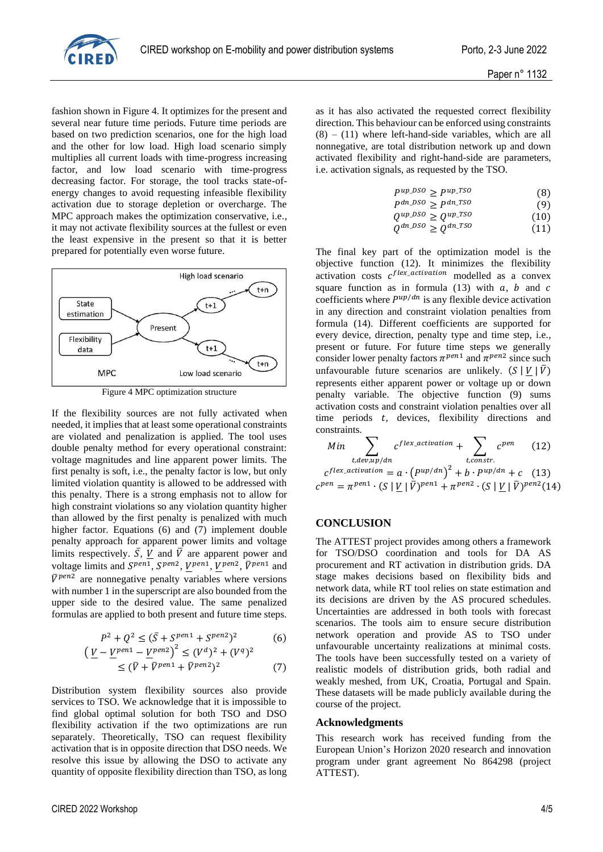

fashion shown in Figure 4. It optimizes for the present and several near future time periods. Future time periods are based on two prediction scenarios, one for the high load and the other for low load. High load scenario simply multiplies all current loads with time-progress increasing factor, and low load scenario with time-progress decreasing factor. For storage, the tool tracks state-ofenergy changes to avoid requesting infeasible flexibility activation due to storage depletion or overcharge. The MPC approach makes the optimization conservative, i.e., it may not activate flexibility sources at the fullest or even the least expensive in the present so that it is better prepared for potentially even worse future.



Figure 4 MPC optimization structure

If the flexibility sources are not fully activated when needed, it implies that at least some operational constraints are violated and penalization is applied. The tool uses double penalty method for every operational constraint: voltage magnitudes and line apparent power limits. The first penalty is soft, i.e., the penalty factor is low, but only limited violation quantity is allowed to be addressed with this penalty. There is a strong emphasis not to allow for high constraint violations so any violation quantity higher than allowed by the first penalty is penalized with much higher factor. Equations (6) and (7) implement double penalty approach for apparent power limits and voltage limits respectively.  $\overline{S}$ , V and  $\overline{V}$  are apparent power and voltage limits and  $S^{pen1}$ ,  $S^{pen2}$ ,  $V^{pen1}$ ,  $V^{pen2}$ ,  $\bar{V}^{pen1}$  and  $\bar{V}^{pen2}$  are nonnegative penalty variables where versions with number 1 in the superscript are also bounded from the upper side to the desired value. The same penalized formulas are applied to both present and future time steps.

$$
P^2 + Q^2 \le (\bar{S} + S^{pen1} + S^{pen2})^2
$$
 (6)  

$$
(V - V^{pen1} - V^{pen2})^2 \le (V^d)^2 + (V^q)^2
$$

$$
\frac{V}{\sqrt{1 - V}} - \frac{V}{\sqrt{1 - V}} = \frac{V}{V} \approx (V) + (V)
$$
  

$$
\leq (\bar{V} + \bar{V}^{pen1} + \bar{V}^{pen2})^2
$$
 (7)

Distribution system flexibility sources also provide services to TSO. We acknowledge that it is impossible to find global optimal solution for both TSO and DSO flexibility activation if the two optimizations are run separately. Theoretically, TSO can request flexibility activation that is in opposite direction that DSO needs. We resolve this issue by allowing the DSO to activate any quantity of opposite flexibility direction than TSO, as long

as it has also activated the requested correct flexibility direction. This behaviour can be enforced using constraints  $(8) - (11)$  where left-hand-side variables, which are all nonnegative, are total distribution network up and down activated flexibility and right-hand-side are parameters, i.e. activation signals, as requested by the TSO.

Q

$$
P^{up\_DSO} \ge P^{up\_TSO} \tag{8}
$$
\n
$$
P^{dn\_DSO} \ge P^{dn\_TSO} \tag{9}
$$

$$
P^{dn\_DSO} \ge P^{dn\_TSO} \tag{9}
$$
  
\n
$$
Q^{up\_DSO} \ge Q^{up\_TSO} \tag{10}
$$

$$
dn\_DSO \geq Q^{dn\_TSO} \tag{11}
$$

The final key part of the optimization model is the objective function (12). It minimizes the flexibility activation costs  $c^{flex\_activation}$  modelled as a convex square function as in formula (13) with  $a$ ,  $b$  and  $c$ coefficients where  $P^{up/dn}$  is any flexible device activation in any direction and constraint violation penalties from formula (14). Different coefficients are supported for every device, direction, penalty type and time step, i.e., present or future. For future time steps we generally consider lower penalty factors  $\pi^{pen1}$  and  $\pi^{pen2}$  since such unfavourable future scenarios are unlikely.  $(S | V | \overline{V})$ represents either apparent power or voltage up or down penalty variable. The objective function (9) sums activation costs and constraint violation penalties over all time periods  $t$ , devices, flexibility directions and constraints.

Min  
\n
$$
\sum_{t,dev,up/dn} c^{flex\_activation} + \sum_{t,constr.} c^{pen}
$$
 (12)  
\n
$$
c^{flex\_activation} = a \cdot (P^{up/dn})^2 + b \cdot P^{up/dn} + c
$$
 (13)  
\n
$$
c^{pen} = \pi^{pen1} \cdot (S \mid \underline{V} \mid \overline{V})^{pen1} + \pi^{pen2} \cdot (S \mid \underline{V} \mid \overline{V})^{pen2}(14)
$$

## **CONCLUSION**

The ATTEST project provides among others a framework for TSO/DSO coordination and tools for DA AS procurement and RT activation in distribution grids. DA stage makes decisions based on flexibility bids and network data, while RT tool relies on state estimation and its decisions are driven by the AS procured schedules. Uncertainties are addressed in both tools with forecast scenarios. The tools aim to ensure secure distribution network operation and provide AS to TSO under unfavourable uncertainty realizations at minimal costs. The tools have been successfully tested on a variety of realistic models of distribution grids, both radial and weakly meshed, from UK, Croatia, Portugal and Spain. These datasets will be made publicly available during the course of the project.

### **Acknowledgments**

This research work has received funding from the European Union's Horizon 2020 research and innovation program under grant agreement No 864298 (project ATTEST).